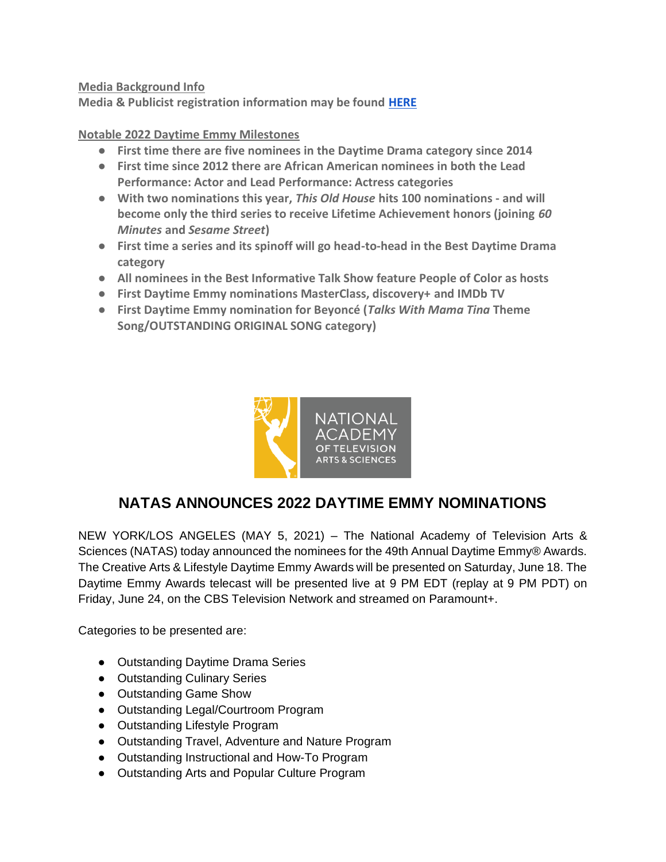**Media Background Info**

**Media & Publicist registration information may be found [HERE](https://forms.gle/KQw7tyfUrCvudprx9)**

**Notable 2022 Daytime Emmy Milestones**

- **First time there are five nominees in the Daytime Drama category since 2014**
- **First time since 2012 there are African American nominees in both the Lead Performance: Actor and Lead Performance: Actress categories**
- **With two nominations this year,** *This Old House* **hits 100 nominations - and will become only the third series to receive Lifetime Achievement honors (joining** *60 Minutes* **and** *Sesame Street***)**
- **First time a series and its spinoff will go head-to-head in the Best Daytime Drama category**
- **All nominees in the Best Informative Talk Show feature People of Color as hosts**
- **First Daytime Emmy nominations MasterClass, discovery+ and IMDb TV**
- **First Daytime Emmy nomination for Beyoncé (***Talks With Mama Tina* **Theme Song/OUTSTANDING ORIGINAL SONG category)**



#### **NATAS ANNOUNCES 2022 DAYTIME EMMY NOMINATIONS**

NEW YORK/LOS ANGELES (MAY 5, 2021) – The National Academy of Television Arts & Sciences (NATAS) today announced the nominees for the 49th Annual Daytime Emmy® Awards. The Creative Arts & Lifestyle Daytime Emmy Awards will be presented on Saturday, June 18. The Daytime Emmy Awards telecast will be presented live at 9 PM EDT (replay at 9 PM PDT) on Friday, June 24, on the CBS Television Network and streamed on Paramount+.

Categories to be presented are:

- Outstanding Daytime Drama Series
- Outstanding Culinary Series
- Outstanding Game Show
- Outstanding Legal/Courtroom Program
- Outstanding Lifestyle Program
- Outstanding Travel, Adventure and Nature Program
- Outstanding Instructional and How-To Program
- Outstanding Arts and Popular Culture Program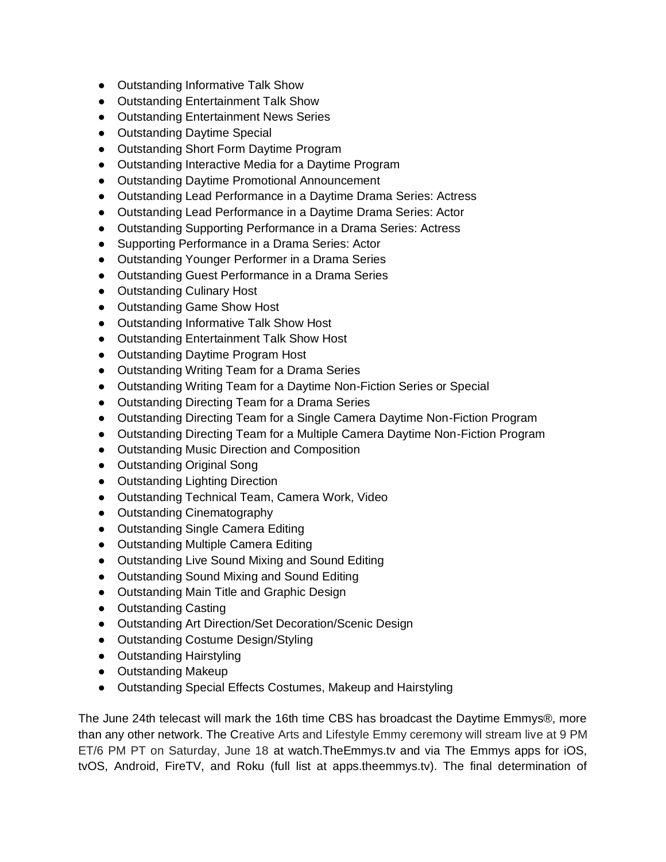- Outstanding Informative Talk Show
- Outstanding Entertainment Talk Show
- Outstanding Entertainment News Series
- Outstanding Daytime Special
- Outstanding Short Form Daytime Program
- Outstanding Interactive Media for a Daytime Program
- Outstanding Daytime Promotional Announcement
- Outstanding Lead Performance in a Daytime Drama Series: Actress
- Outstanding Lead Performance in a Daytime Drama Series: Actor
- Outstanding Supporting Performance in a Drama Series: Actress
- Supporting Performance in a Drama Series: Actor
- Outstanding Younger Performer in a Drama Series
- Outstanding Guest Performance in a Drama Series
- Outstanding Culinary Host
- Outstanding Game Show Host
- Outstanding Informative Talk Show Host
- Outstanding Entertainment Talk Show Host
- Outstanding Daytime Program Host
- Outstanding Writing Team for a Drama Series
- Outstanding Writing Team for a Daytime Non-Fiction Series or Special
- Outstanding Directing Team for a Drama Series
- Outstanding Directing Team for a Single Camera Daytime Non-Fiction Program
- Outstanding Directing Team for a Multiple Camera Daytime Non-Fiction Program
- Outstanding Music Direction and Composition
- Outstanding Original Song
- Outstanding Lighting Direction
- Outstanding Technical Team, Camera Work, Video
- Outstanding Cinematography
- Outstanding Single Camera Editing
- Outstanding Multiple Camera Editing
- Outstanding Live Sound Mixing and Sound Editing
- Outstanding Sound Mixing and Sound Editing
- Outstanding Main Title and Graphic Design
- Outstanding Casting
- Outstanding Art Direction/Set Decoration/Scenic Design
- Outstanding Costume Design/Styling
- Outstanding Hairstyling
- Outstanding Makeup
- Outstanding Special Effects Costumes, Makeup and Hairstyling

The June 24th telecast will mark the 16th time CBS has broadcast the Daytime Emmys®, more than any other network. The Creative Arts and Lifestyle Emmy ceremony will stream live at 9 PM ET/6 PM PT on Saturday, June 18 at watch.TheEmmys.tv and via The Emmys apps for iOS, tvOS, Android, FireTV, and Roku (full list at apps.theemmys.tv). The final determination of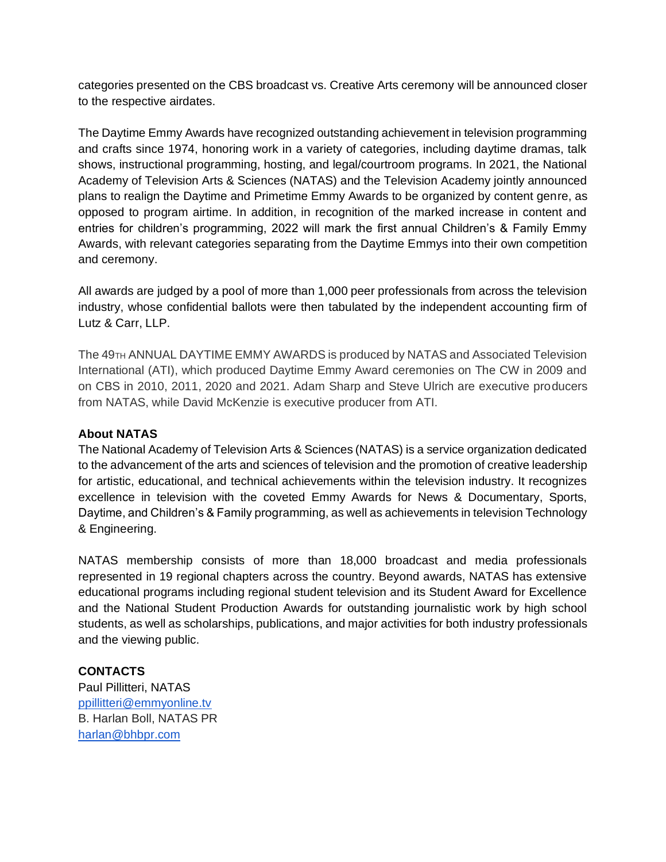categories presented on the CBS broadcast vs. Creative Arts ceremony will be announced closer to the respective airdates.

The Daytime Emmy Awards have recognized outstanding achievement in television programming and crafts since 1974, honoring work in a variety of categories, including daytime dramas, talk shows, instructional programming, hosting, and legal/courtroom programs. In 2021, the National Academy of Television Arts & Sciences (NATAS) and the Television Academy jointly announced plans to realign the Daytime and Primetime Emmy Awards to be organized by content genre, as opposed to program airtime. In addition, in recognition of the marked increase in content and entries for children's programming, 2022 will mark the first annual Children's & Family Emmy Awards, with relevant categories separating from the Daytime Emmys into their own competition and ceremony.

All awards are judged by a pool of more than 1,000 peer professionals from across the television industry, whose confidential ballots were then tabulated by the independent accounting firm of Lutz & Carr, LLP.

The 49<sub>TH</sub> ANNUAL DAYTIME EMMY AWARDS is produced by NATAS and Associated Television International (ATI), which produced Daytime Emmy Award ceremonies on The CW in 2009 and on CBS in 2010, 2011, 2020 and 2021. Adam Sharp and Steve Ulrich are executive producers from NATAS, while David McKenzie is executive producer from ATI.

#### **About NATAS**

The National Academy of Television Arts & Sciences (NATAS) is a service organization dedicated to the advancement of the arts and sciences of television and the promotion of creative leadership for artistic, educational, and technical achievements within the television industry. It recognizes excellence in television with the coveted Emmy Awards for News & Documentary, Sports, Daytime, and Children's & Family programming, as well as achievements in television Technology & Engineering.

NATAS membership consists of more than 18,000 broadcast and media professionals represented in 19 regional chapters across the country. Beyond awards, NATAS has extensive educational programs including regional student television and its Student Award for Excellence and the National Student Production Awards for outstanding journalistic work by high school students, as well as scholarships, publications, and major activities for both industry professionals and the viewing public.

#### **CONTACTS**

Paul Pillitteri, NATAS [ppillitteri@emmyonline.tv](mailto:ppillitteri@emmyonline.tv) B. Harlan Boll, NATAS PR [harlan@bhbpr.com](mailto:harlan@bhbpr.com)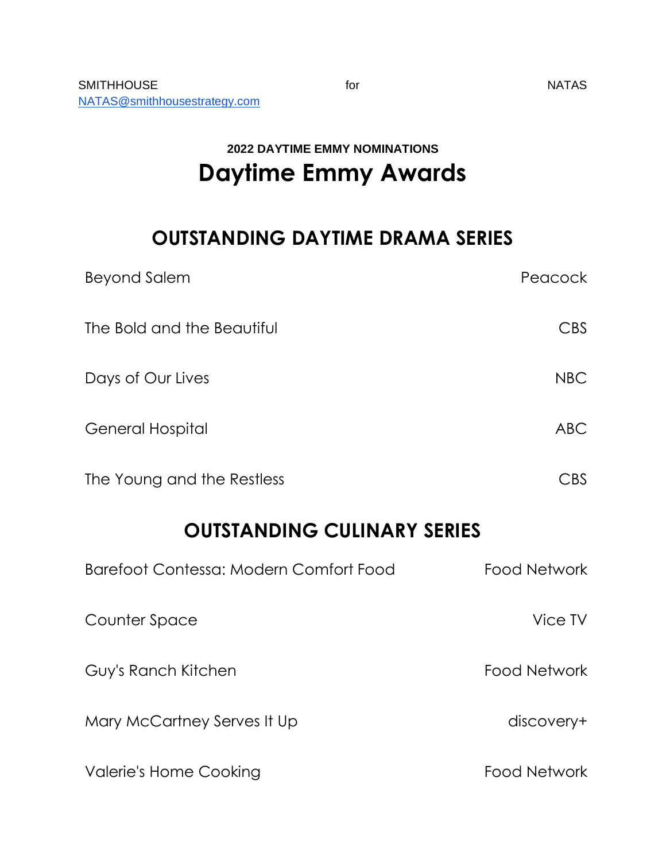## **2022 DAYTIME EMMY NOMINATIONS Daytime Emmy Awards**

## **OUTSTANDING DAYTIME DRAMA SERIES**

| <b>Beyond Salem</b>                    | Peacock             |  |
|----------------------------------------|---------------------|--|
| The Bold and the Beautiful             | CBS                 |  |
| Days of Our Lives                      | <b>NBC</b>          |  |
| <b>General Hospital</b>                | <b>ABC</b>          |  |
| The Young and the Restless             | <b>CBS</b>          |  |
| <b>OUTSTANDING CULINARY SERIES</b>     |                     |  |
| Barefoot Contessa: Modern Comfort Food | <b>Food Network</b> |  |
| Counter Space                          | Vice TV             |  |
| Guy's Ranch Kitchen                    | <b>Food Network</b> |  |
| Mary McCartney Serves It Up            | discovery+          |  |
| <b>Valerie's Home Cooking</b>          | <b>Food Network</b> |  |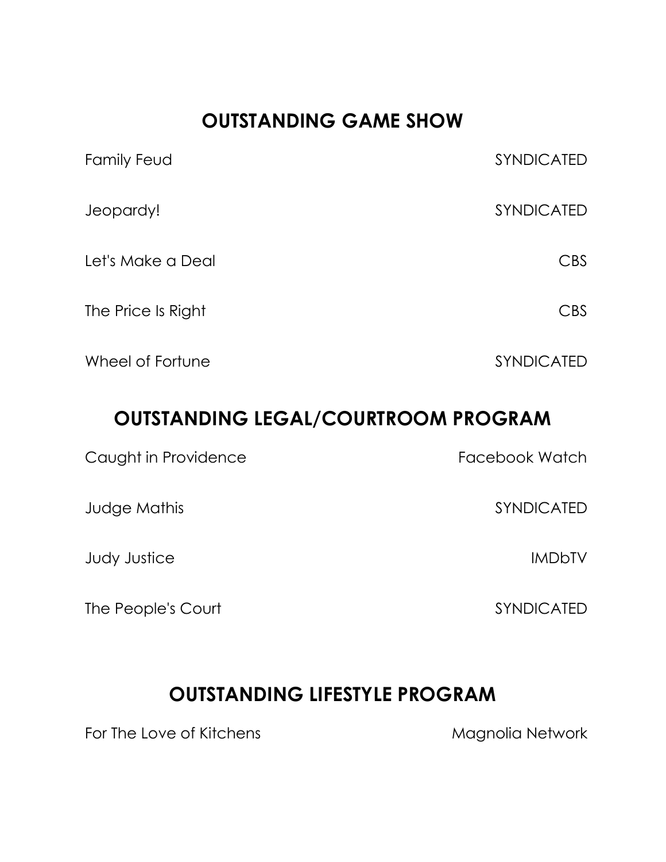## **OUTSTANDING GAME SHOW**

| Family Feud        | <b>SYNDICATED</b> |
|--------------------|-------------------|
| Jeopardy!          | SYNDICATED        |
| Let's Make a Deal  | CBS               |
| The Price Is Right | CBS               |
| Wheel of Fortune   | <b>SYNDICATED</b> |

## **OUTSTANDING LEGAL/COURTROOM PROGRAM**

| Caught in Providence | Facebook Watch    |
|----------------------|-------------------|
| Judge Mathis         | <b>SYNDICATED</b> |
| <b>Judy Justice</b>  | <b>IMDbTV</b>     |
| The People's Court   | <b>SYNDICATED</b> |

#### **OUTSTANDING LIFESTYLE PROGRAM**

For The Love of Kitchens **Magnolia Network**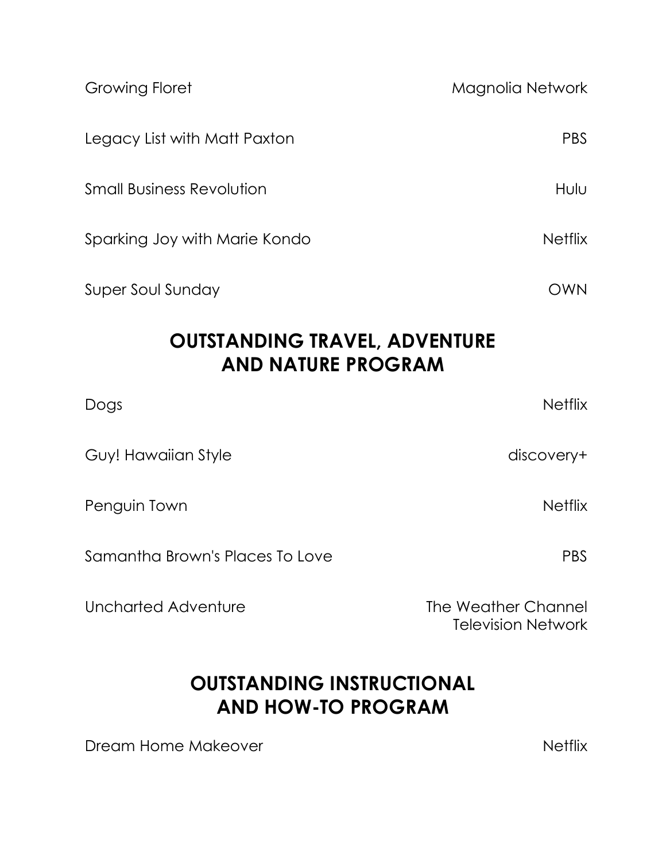| <b>Growing Floret</b>                                             | Magnolia Network                                 |
|-------------------------------------------------------------------|--------------------------------------------------|
| Legacy List with Matt Paxton                                      | <b>PBS</b>                                       |
| <b>Small Business Revolution</b>                                  | Hulu                                             |
| Sparking Joy with Marie Kondo                                     | <b>Netflix</b>                                   |
| <b>Super Soul Sunday</b>                                          | OWN                                              |
| <b>OUTSTANDING TRAVEL, ADVENTURE</b><br><b>AND NATURE PROGRAM</b> |                                                  |
| Dogs                                                              | <b>Netflix</b>                                   |
| Guy! Hawaiian Style                                               | discovery+                                       |
| Penguin Town                                                      | <b>Netflix</b>                                   |
| Samantha Brown's Places To Love                                   | <b>PBS</b>                                       |
| <b>Uncharted Adventure</b>                                        | The Weather Channel<br><b>Television Network</b> |

## **OUTSTANDING INSTRUCTIONAL AND HOW-TO PROGRAM**

Dream Home Makeover Netflix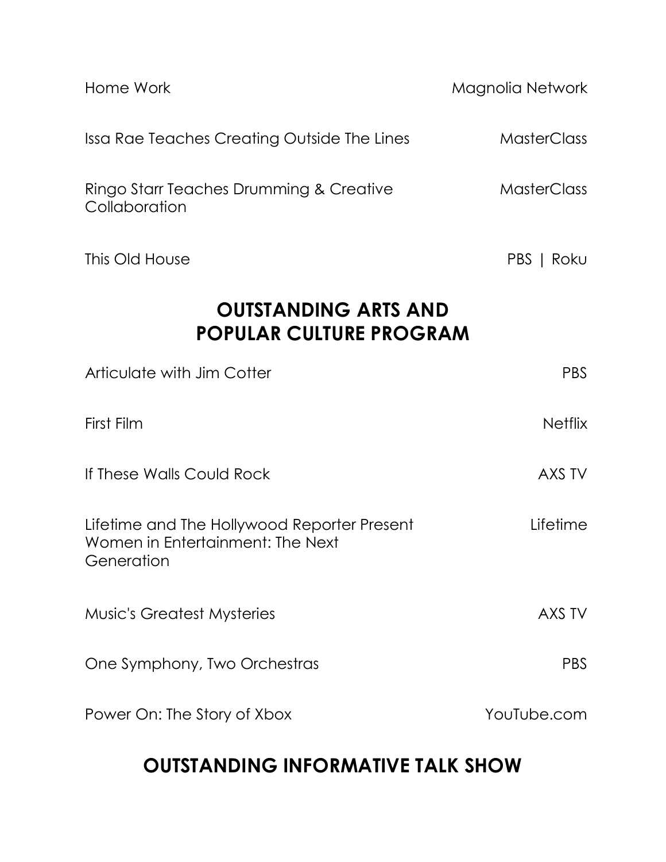| Home Work                                                                                     | Magnolia Network   |  |
|-----------------------------------------------------------------------------------------------|--------------------|--|
| Issa Rae Teaches Creating Outside The Lines                                                   | <b>MasterClass</b> |  |
| Ringo Starr Teaches Drumming & Creative<br>Collaboration                                      | <b>MasterClass</b> |  |
| This Old House                                                                                | PBS   Roku         |  |
| <b>OUTSTANDING ARTS AND</b><br>POPULAR CULTURE PROGRAM                                        |                    |  |
| Articulate with Jim Cotter                                                                    | <b>PBS</b>         |  |
| First Film                                                                                    | <b>Netflix</b>     |  |
| If These Walls Could Rock                                                                     | AXS TV             |  |
| Lifetime and The Hollywood Reporter Present<br>Women in Entertainment: The Next<br>Generation | Lifetime           |  |
| <b>Music's Greatest Mysteries</b>                                                             | AXS TV             |  |
| One Symphony, Two Orchestras                                                                  | <b>PBS</b>         |  |
| Power On: The Story of Xbox                                                                   | YouTube.com        |  |

## **OUTSTANDING INFORMATIVE TALK SHOW**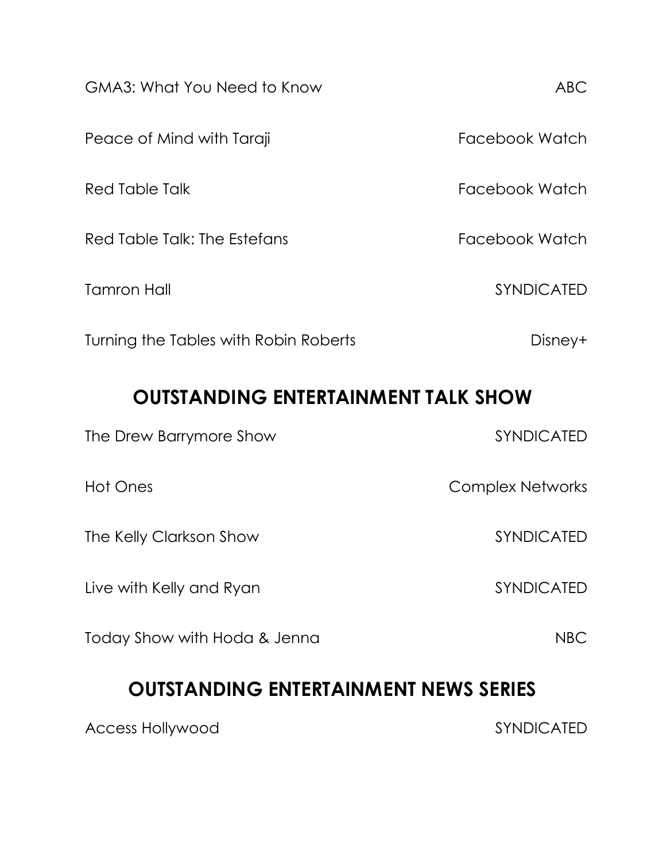| <b>GMA3: What You Need to Know</b>    | ABC            |
|---------------------------------------|----------------|
| Peace of Mind with Taraji             | Facebook Watch |
| Red Table Talk                        | Facebook Watch |
| Red Table Talk: The Estefans          | Facebook Watch |
| <b>Tamron Hall</b>                    | SYNDICATED     |
| Turning the Tables with Robin Roberts | Disney+        |
|                                       |                |

#### **OUTSTANDING ENTERTAINMENT TALK SHOW**

| The Drew Barrymore Show      | <b>SYNDICATED</b> |
|------------------------------|-------------------|
| Hot Ones                     | Complex Networks  |
| The Kelly Clarkson Show      | <b>SYNDICATED</b> |
| Live with Kelly and Ryan     | <b>SYNDICATED</b> |
| Today Show with Hoda & Jenna | NBC               |

## **OUTSTANDING ENTERTAINMENT NEWS SERIES**

Access Hollywood and SYNDICATED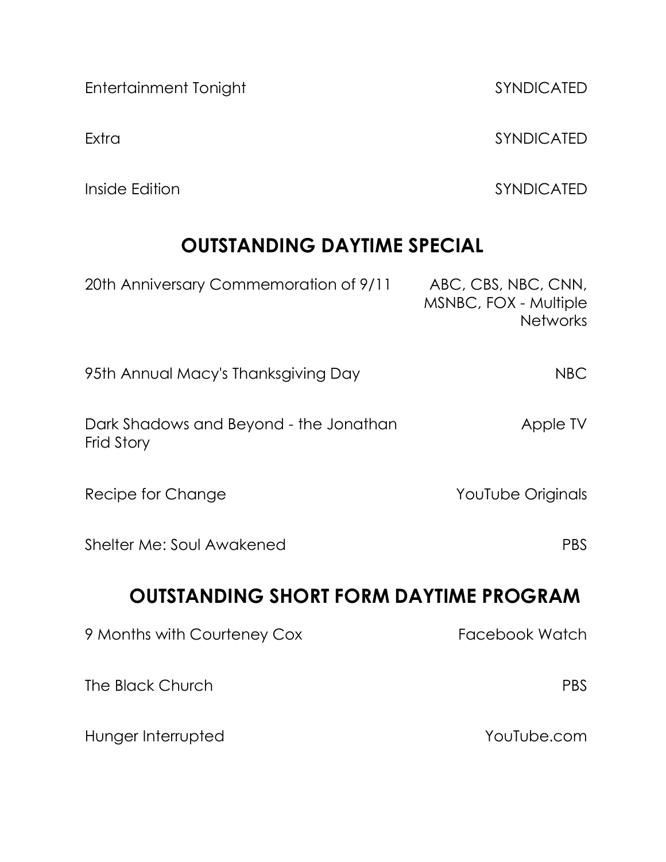Entertainment Tonight SYNDICATED

Inside Edition **SYNDICATED** 

# **OUTSTANDING DAYTIME SPECIAL**

| 20th Anniversary Commemoration of 9/11               | ABC, CBS, NBC, CNN,<br>MSNBC, FOX - Multiple<br><b>Networks</b> |
|------------------------------------------------------|-----------------------------------------------------------------|
| 95th Annual Macy's Thanksgiving Day                  | <b>NBC</b>                                                      |
| Dark Shadows and Beyond - the Jonathan<br>Frid Story | Apple TV                                                        |
| Recipe for Change                                    | YouTube Originals                                               |
| Shelter Me: Soul Awakened                            | <b>PBS</b>                                                      |
| <b>OUTSTANDING SHORT FORM DAYTIME PROGRAM</b>        |                                                                 |
| 9 Months with Courteney Cox                          | Facebook Watch                                                  |
| The Black Church                                     | <b>PBS</b>                                                      |
| Hunger Interrupted                                   | YouTube.com                                                     |

Extra SYNDICATED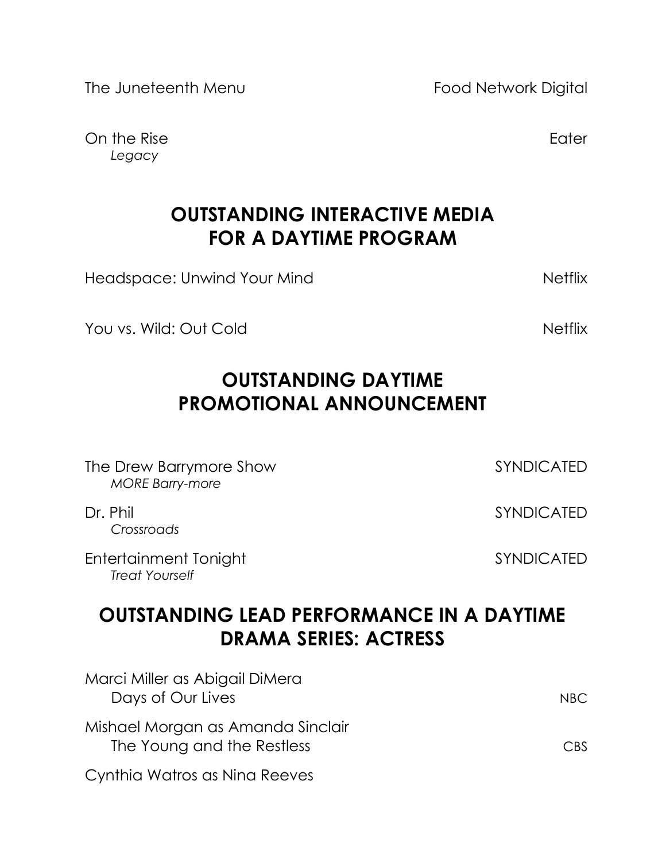The Juneteenth Menu **Food Network Digital** 

On the Rise **Eater** Eater **Eater** Eater **Eater** *Legacy*

## **OUTSTANDING INTERACTIVE MEDIA FOR A DAYTIME PROGRAM**

Headspace: Unwind Your Mind Netflix

You vs. Wild: Out Cold Netflix

## **OUTSTANDING DAYTIME PROMOTIONAL ANNOUNCEMENT**

| The Drew Barrymore Show<br><b>MORE Barry-more</b>                                | <b>SYNDICATED</b> |  |
|----------------------------------------------------------------------------------|-------------------|--|
| Dr. Phil<br>Crossroads                                                           | <b>SYNDICATED</b> |  |
| Entertainment Tonight<br><b>Treat Yourself</b>                                   | <b>SYNDICATED</b> |  |
| <b>OUTSTANDING LEAD PERFORMANCE IN A DAYTIME</b><br><b>DRAMA SERIES: ACTRESS</b> |                   |  |
| Marci Miller as Abigail DiMera                                                   |                   |  |

Days of Our Lives NBC Mishael Morgan as Amanda Sinclair The Young and the Restless CBS Cynthia Watros as Nina Reeves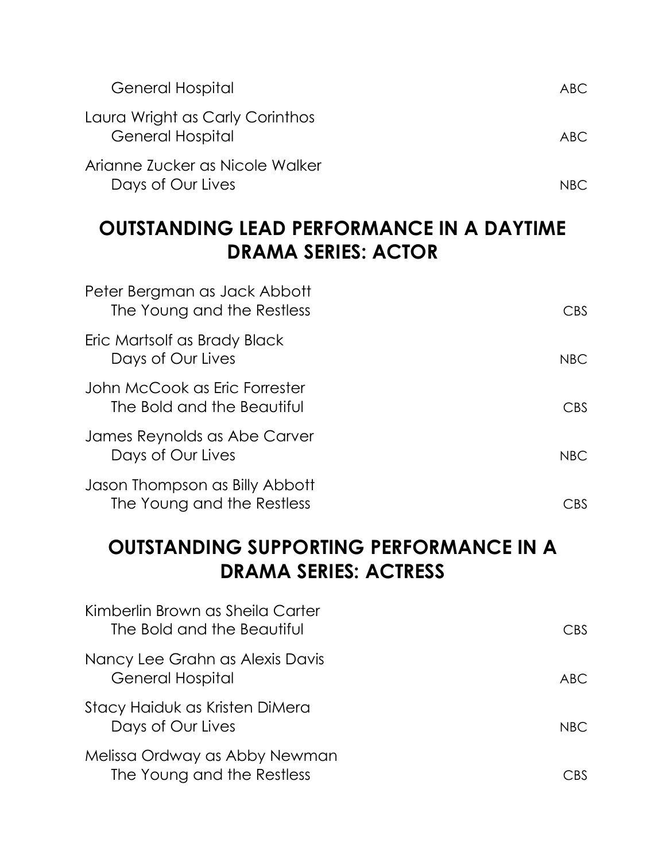| <b>General Hospital</b>                                    | ABC. |
|------------------------------------------------------------|------|
| Laura Wright as Carly Corinthos<br><b>General Hospital</b> | ABC. |
| Arianne Zucker as Nicole Walker<br>Days of Our Lives       | NRC. |

#### **OUTSTANDING LEAD PERFORMANCE IN A DAYTIME DRAMA SERIES: ACTOR**

| Peter Bergman as Jack Abbott<br>The Young and the Restless   | CBS        |
|--------------------------------------------------------------|------------|
| Eric Martsolf as Brady Black<br>Days of Our Lives            | <b>NBC</b> |
| John McCook as Eric Forrester<br>The Bold and the Beautiful  | CBS.       |
| James Reynolds as Abe Carver<br>Days of Our Lives            | <b>NBC</b> |
| Jason Thompson as Billy Abbott<br>The Young and the Restless | CBS        |

## **OUTSTANDING SUPPORTING PERFORMANCE IN A DRAMA SERIES: ACTRESS**

| Kimberlin Brown as Sheila Carter<br>The Bold and the Beautiful | CBS.         |
|----------------------------------------------------------------|--------------|
| Nancy Lee Grahn as Alexis Davis<br><b>General Hospital</b>     | ABC          |
| Stacy Haiduk as Kristen DiMera<br>Days of Our Lives            | NRC.         |
| Melissa Ordway as Abby Newman<br>The Young and the Restless    | $\subset$ rs |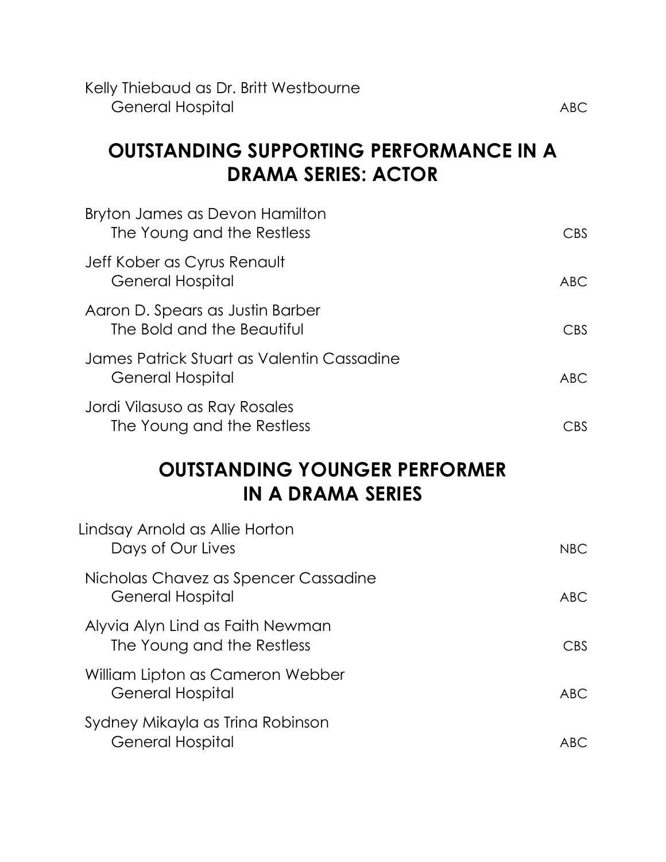Kelly Thiebaud as Dr. Britt Westbourne **General Hospital ABC** 

## **OUTSTANDING SUPPORTING PERFORMANCE IN A DRAMA SERIES: ACTOR**

| Bryton James as Devon Hamilton<br>The Young and the Restless   | <b>CBS</b> |
|----------------------------------------------------------------|------------|
| Jeff Kober as Cyrus Renault<br><b>General Hospital</b>         | <b>ABC</b> |
| Aaron D. Spears as Justin Barber<br>The Bold and the Beautiful | <b>CBS</b> |
| James Patrick Stuart as Valentin Cassadine<br>General Hospital | <b>ABC</b> |
| Jordi Vilasuso as Ray Rosales<br>The Young and the Restless    | CBS        |

#### **OUTSTANDING YOUNGER PERFORMER IN A DRAMA SERIES**

| Lindsay Arnold as Allie Horton<br>Days of Our Lives            | <b>NBC</b> |
|----------------------------------------------------------------|------------|
| Nicholas Chavez as Spencer Cassadine<br>General Hospital       | <b>ABC</b> |
| Alyvia Alyn Lind as Faith Newman<br>The Young and the Restless | <b>CBS</b> |
| William Lipton as Cameron Webber<br>General Hospital           | ABC.       |
| Sydney Mikayla as Trina Robinson<br>General Hospital           | ABC        |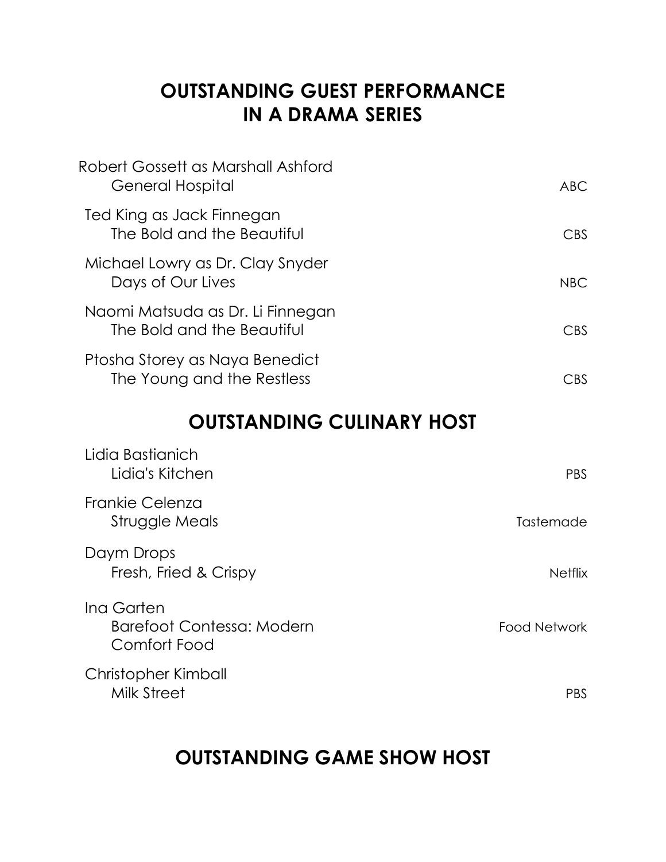## **OUTSTANDING GUEST PERFORMANCE IN A DRAMA SERIES**

| Robert Gossett as Marshall Ashford<br>General Hospital         | ABC          |
|----------------------------------------------------------------|--------------|
| Ted King as Jack Finnegan<br>The Bold and the Beautiful        | CBS          |
| Michael Lowry as Dr. Clay Snyder<br>Days of Our Lives          | <b>NBC</b>   |
| Naomi Matsuda as Dr. Li Finnegan<br>The Bold and the Beautiful | CBS.         |
| Ptosha Storey as Naya Benedict<br>The Young and the Restless   | $\bigcap$ rs |

## **OUTSTANDING CULINARY HOST**

| Lidia Bastianich<br>Lidia's Kitchen                     | <b>PBS</b>          |
|---------------------------------------------------------|---------------------|
| Frankie Celenza<br>Struggle Meals                       | Tastemade           |
| Daym Drops<br>Fresh, Fried & Crispy                     | <b>Netflix</b>      |
| Ing Garten<br>Barefoot Contessa: Modern<br>Comfort Food | <b>Food Network</b> |
| Christopher Kimball<br>Milk Street                      | PBS                 |

## **OUTSTANDING GAME SHOW HOST**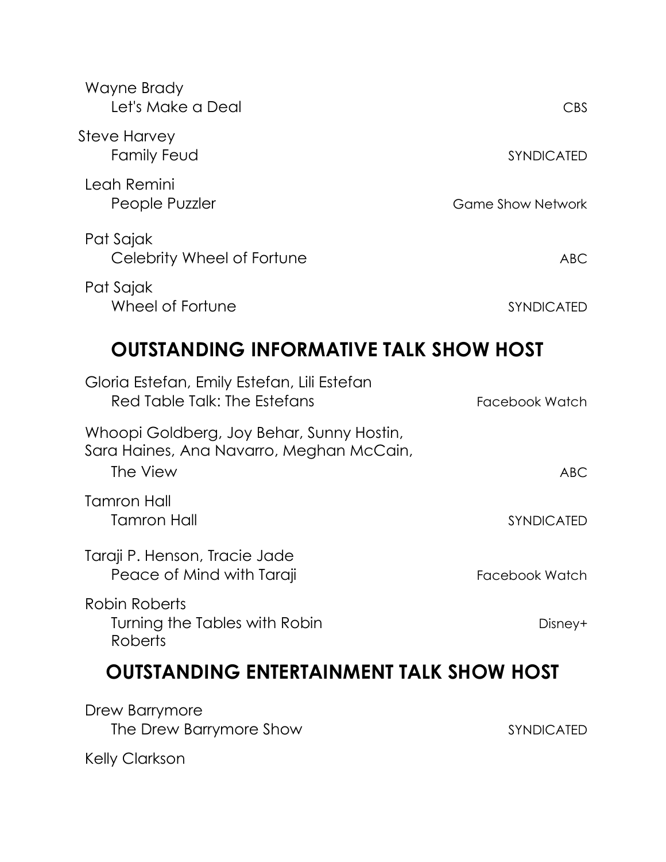| Wayne Brady<br>Let's Make a Deal        | <b>CBS</b>               |
|-----------------------------------------|--------------------------|
| Steve Harvey<br>Family Feud             | <b>SYNDICATED</b>        |
| Leah Remini<br>People Puzzler           | <b>Game Show Network</b> |
| Pat Sajak<br>Celebrity Wheel of Fortune | <b>ABC</b>               |
| Pat Sajak<br>Wheel of Fortune           | SYNDICATED               |

## **OUTSTANDING INFORMATIVE TALK SHOW HOST**

| Facebook Watch |
|----------------|
| <b>ABC</b>     |
| SYNDICATED     |
| Facebook Watch |
| Disney+        |
|                |

## **OUTSTANDING ENTERTAINMENT TALK SHOW HOST**

Drew Barrymore The Drew Barrymore Show SYNDICATED

Kelly Clarkson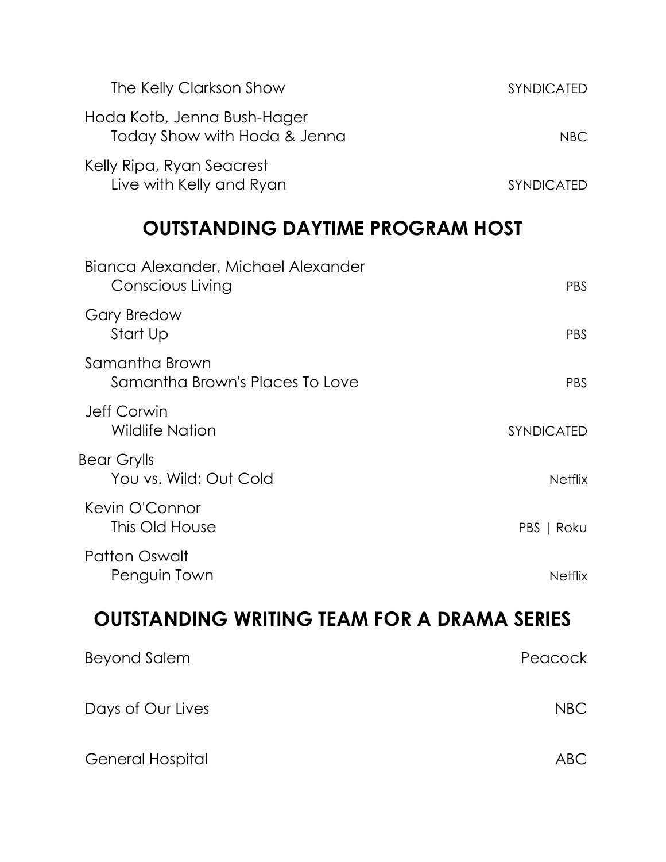| The Kelly Clarkson Show                                     | <b>SYNDICATED</b> |
|-------------------------------------------------------------|-------------------|
| Hoda Kotb, Jenna Bush-Hager<br>Today Show with Hoda & Jenna | NBC.              |
| Kelly Ripa, Ryan Seacrest<br>Live with Kelly and Ryan       | <b>SYNDICATED</b> |

## **OUTSTANDING DAYTIME PROGRAM HOST**

| Bianca Alexander, Michael Alexander<br>Conscious Living | <b>PBS</b>        |
|---------------------------------------------------------|-------------------|
| <b>Gary Bredow</b><br>Start Up                          | <b>PBS</b>        |
| Samantha Brown<br>Samantha Brown's Places To Love       | PBS               |
| Jeff Corwin<br><b>Wildlife Nation</b>                   | <b>SYNDICATED</b> |
| Bear Grylls<br>You vs. Wild: Out Cold                   | <b>Netflix</b>    |
| Kevin O'Connor<br>This Old House                        | PBS   Roku        |
| <b>Patton Oswalt</b><br>Penguin Town                    | <b>Netflix</b>    |

## **OUTSTANDING WRITING TEAM FOR A DRAMA SERIES**

| Beyond Salem      | Peacock    |
|-------------------|------------|
| Days of Our Lives | <b>NBC</b> |
| General Hospital  | ABC        |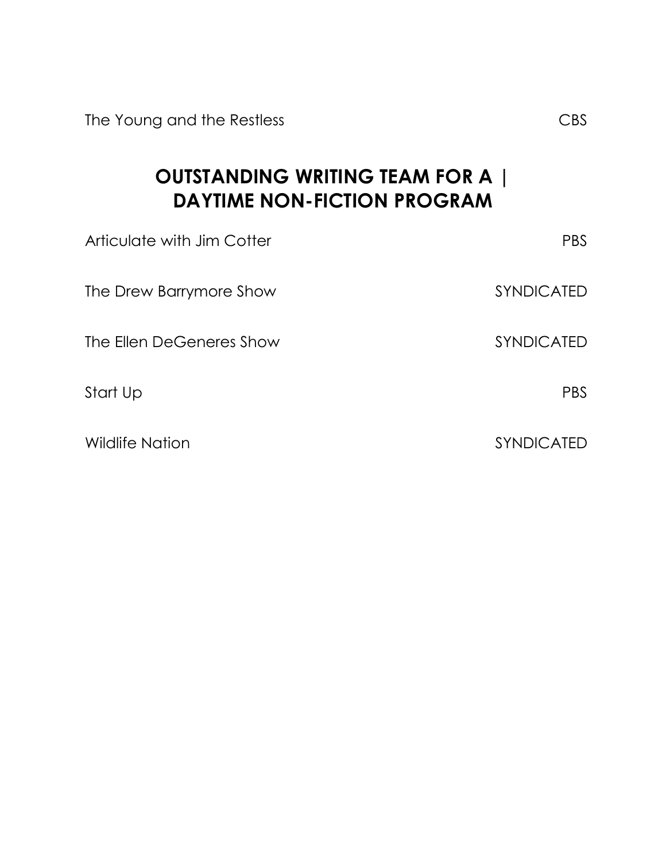The Young and the Restless CBS

**OUTSTANDING WRITING TEAM FOR A | DAYTIME NON-FICTION PROGRAM**

| Articulate with Jim Cotter | <b>PBS</b>        |
|----------------------------|-------------------|
| The Drew Barrymore Show    | <b>SYNDICATED</b> |
| The Ellen DeGeneres Show   | <b>SYNDICATED</b> |
| Start Up                   | <b>PBS</b>        |
| <b>Wildlife Nation</b>     | <b>SYNDICATED</b> |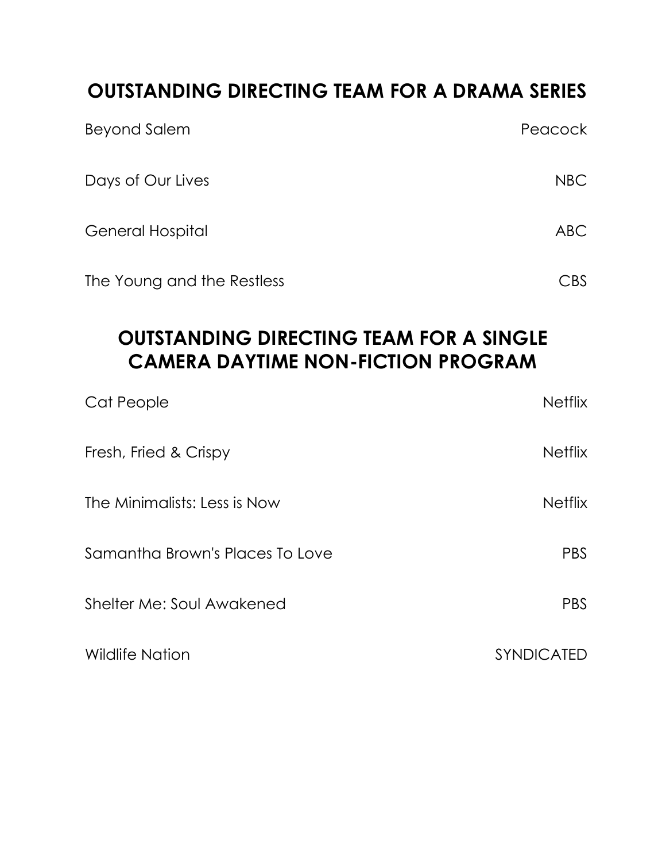## **OUTSTANDING DIRECTING TEAM FOR A DRAMA SERIES**

| <b>Beyond Salem</b>        | Peacock        |
|----------------------------|----------------|
| Days of Our Lives          | <b>NBC</b>     |
| <b>General Hospital</b>    | <b>ABC</b>     |
| The Young and the Restless | $\mathsf{CBS}$ |

## **OUTSTANDING DIRECTING TEAM FOR A SINGLE CAMERA DAYTIME NON-FICTION PROGRAM**

| Cat People                      | <b>Netflix</b>    |
|---------------------------------|-------------------|
| Fresh, Fried & Crispy           | <b>Netflix</b>    |
| The Minimalists: Less is Now    | <b>Netflix</b>    |
| Samantha Brown's Places To Love | <b>PBS</b>        |
| Shelter Me: Soul Awakened       | PBS               |
| <b>Wildlife Nation</b>          | <b>SYNDICATED</b> |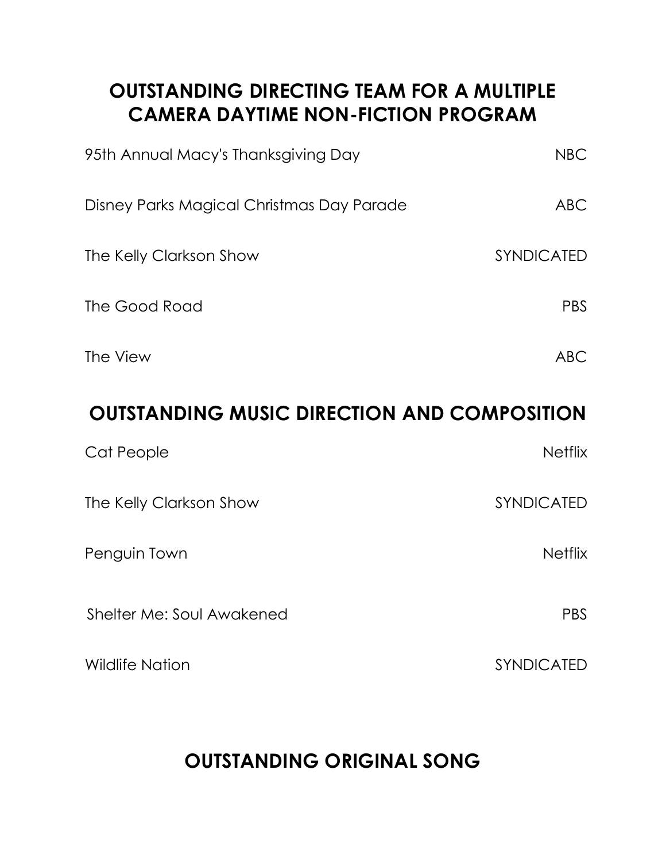## **OUTSTANDING DIRECTING TEAM FOR A MULTIPLE CAMERA DAYTIME NON-FICTION PROGRAM**

| 95th Annual Macy's Thanksgiving Day       | <b>NBC</b>        |
|-------------------------------------------|-------------------|
| Disney Parks Magical Christmas Day Parade | <b>ABC</b>        |
| The Kelly Clarkson Show                   | <b>SYNDICATED</b> |
| The Good Road                             | <b>PBS</b>        |
| The View                                  | ABC               |

## **OUTSTANDING MUSIC DIRECTION AND COMPOSITION**

| Cat People                | <b>Netflix</b>    |
|---------------------------|-------------------|
| The Kelly Clarkson Show   | SYNDICATED        |
| Penguin Town              | <b>Netflix</b>    |
| Shelter Me: Soul Awakened | <b>PBS</b>        |
| <b>Wildlife Nation</b>    | <b>SYNDICATED</b> |

# **OUTSTANDING ORIGINAL SONG**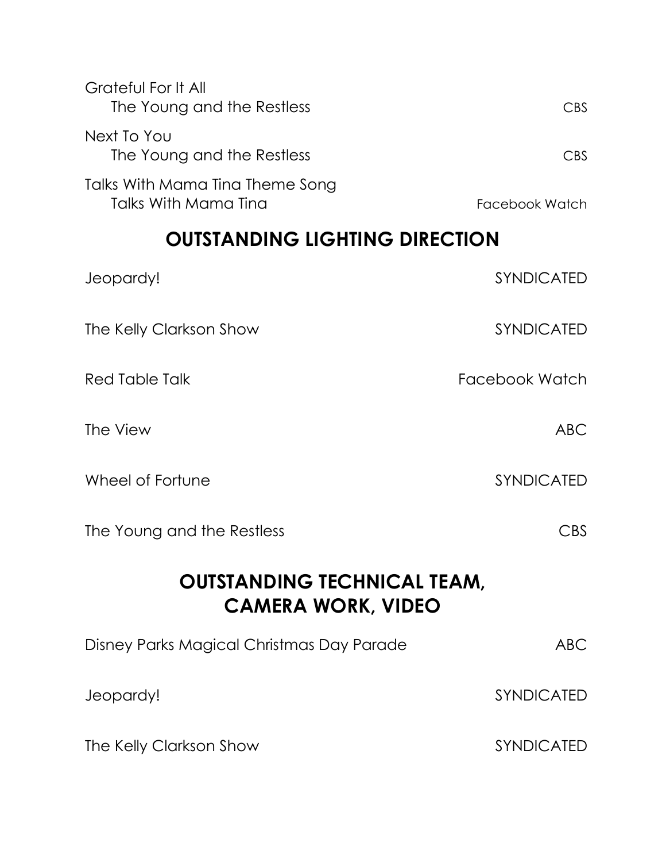| Grateful For It All<br>The Young and the Restless       | CBS.           |
|---------------------------------------------------------|----------------|
| Next To You<br>The Young and the Restless               | CBS.           |
| Talks With Mama Tina Theme Song<br>Talks With Mama Tina | Facebook Watch |

#### **OUTSTANDING LIGHTING DIRECTION**

| Jeopardy!                  | <b>SYNDICATED</b>       |
|----------------------------|-------------------------|
| The Kelly Clarkson Show    | SYNDICATED              |
| Red Table Talk             | Facebook Watch          |
| The View                   | ABC                     |
| Wheel of Fortune           | <b>SYNDICATED</b>       |
| The Young and the Restless | $\mathsf{C}\mathsf{BS}$ |

#### **OUTSTANDING TECHNICAL TEAM, CAMERA WORK, VIDEO**

| Disney Parks Magical Christmas Day Parade | ABC.              |
|-------------------------------------------|-------------------|
| Jeopardy!                                 | <b>SYNDICATED</b> |
| The Kelly Clarkson Show                   | <b>SYNDICATED</b> |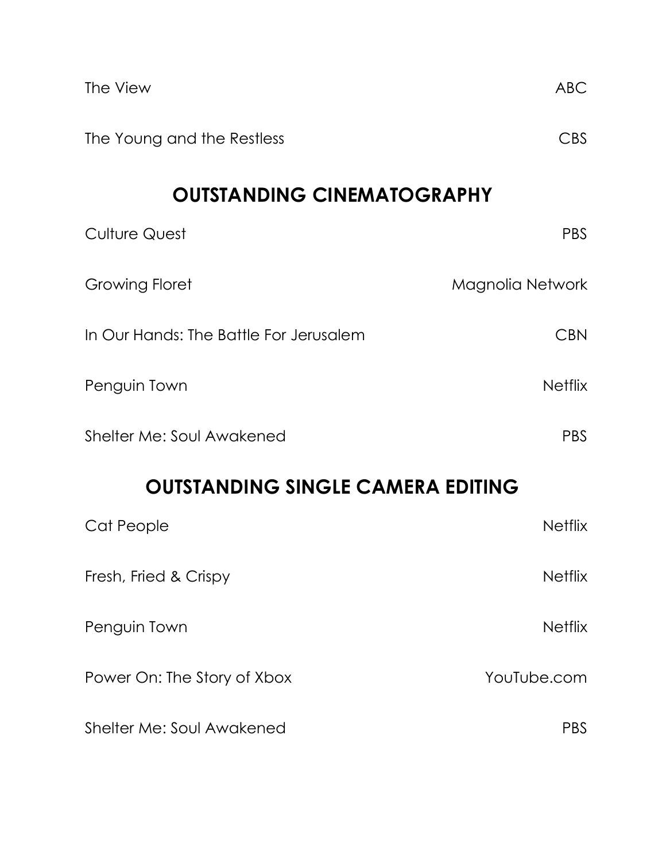| The View                                 | ABC              |  |
|------------------------------------------|------------------|--|
| The Young and the Restless               | <b>CBS</b>       |  |
| <b>OUTSTANDING CINEMATOGRAPHY</b>        |                  |  |
| <b>Culture Quest</b>                     | <b>PBS</b>       |  |
| <b>Growing Floret</b>                    | Magnolia Network |  |
| In Our Hands: The Battle For Jerusalem   | <b>CBN</b>       |  |
| Penguin Town                             | <b>Netflix</b>   |  |
| Shelter Me: Soul Awakened                | <b>PBS</b>       |  |
| <b>OUTSTANDING SINGLE CAMERA EDITING</b> |                  |  |
| Cat People                               | <b>Netflix</b>   |  |
| Fresh, Fried & Crispy                    | <b>Netflix</b>   |  |
| Penguin Town                             | <b>Netflix</b>   |  |
| Power On: The Story of Xbox              | YouTube.com      |  |
| Shelter Me: Soul Awakened                | <b>PBS</b>       |  |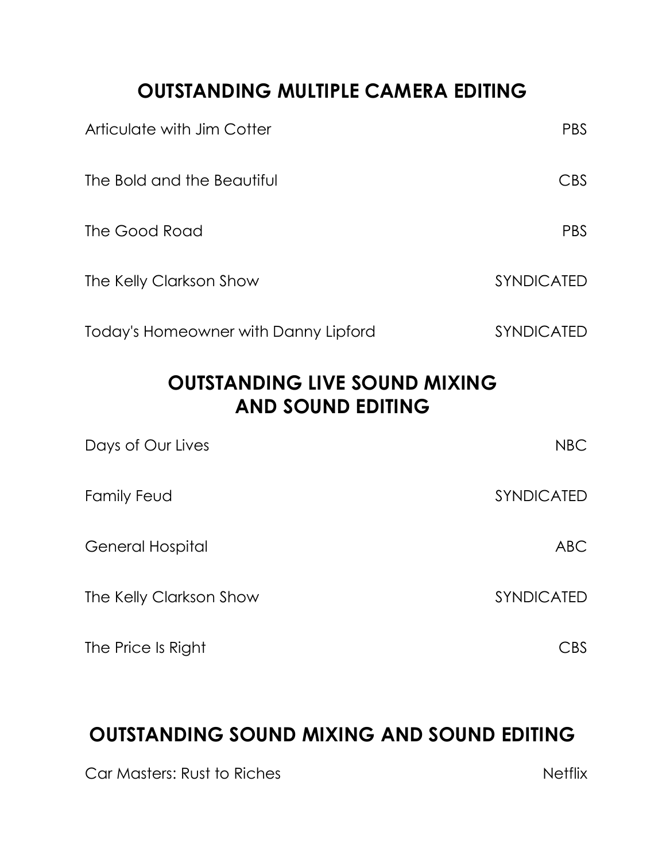## **OUTSTANDING MULTIPLE CAMERA EDITING**

| Articulate with Jim Cotter           | <b>PBS</b>        |
|--------------------------------------|-------------------|
| The Bold and the Beautiful           | <b>CBS</b>        |
| The Good Road                        | <b>PBS</b>        |
| The Kelly Clarkson Show              | <b>SYNDICATED</b> |
| Today's Homeowner with Danny Lipford | <b>SYNDICATED</b> |

## **OUTSTANDING LIVE SOUND MIXING AND SOUND EDITING**

| Days of Our Lives       | <b>NBC</b> |
|-------------------------|------------|
| Family Feud             | SYNDICATED |
| <b>General Hospital</b> | <b>ABC</b> |
| The Kelly Clarkson Show | SYNDICATED |
| The Price Is Right      | :BS        |

## **OUTSTANDING SOUND MIXING AND SOUND EDITING**

Car Masters: Rust to Riches Netflix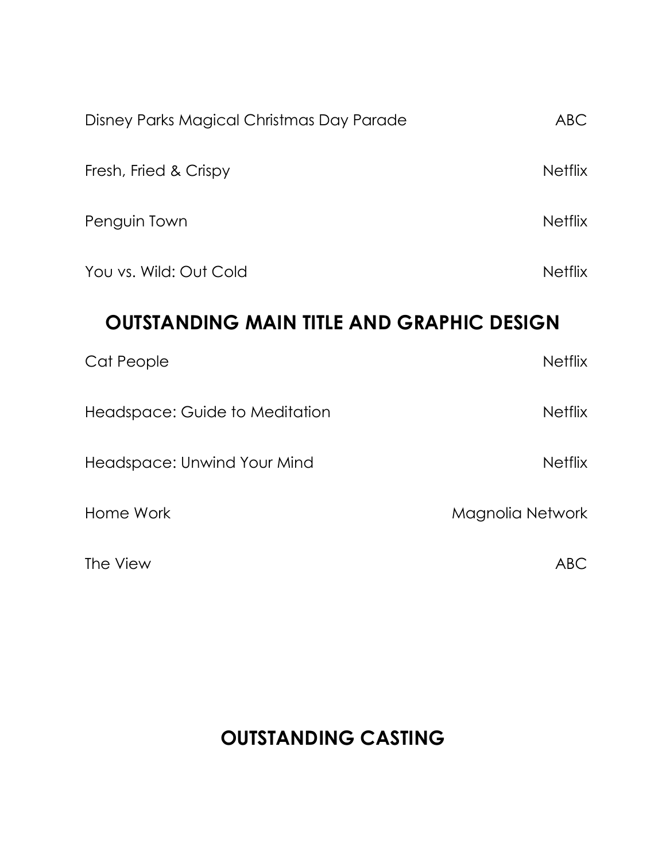| Disney Parks Magical Christmas Day Parade        | <b>ABC</b>       |  |
|--------------------------------------------------|------------------|--|
| Fresh, Fried & Crispy                            | <b>Netflix</b>   |  |
| Penguin Town                                     | <b>Netflix</b>   |  |
| You vs. Wild: Out Cold                           | <b>Netflix</b>   |  |
| <b>OUTSTANDING MAIN TITLE AND GRAPHIC DESIGN</b> |                  |  |
| Cat People                                       | <b>Netflix</b>   |  |
| Headspace: Guide to Meditation                   | <b>Netflix</b>   |  |
| Headspace: Unwind Your Mind                      | <b>Netflix</b>   |  |
| Home Work                                        | Magnolia Network |  |
| The View                                         | <b>ABC</b>       |  |

## **OUTSTANDING CASTING**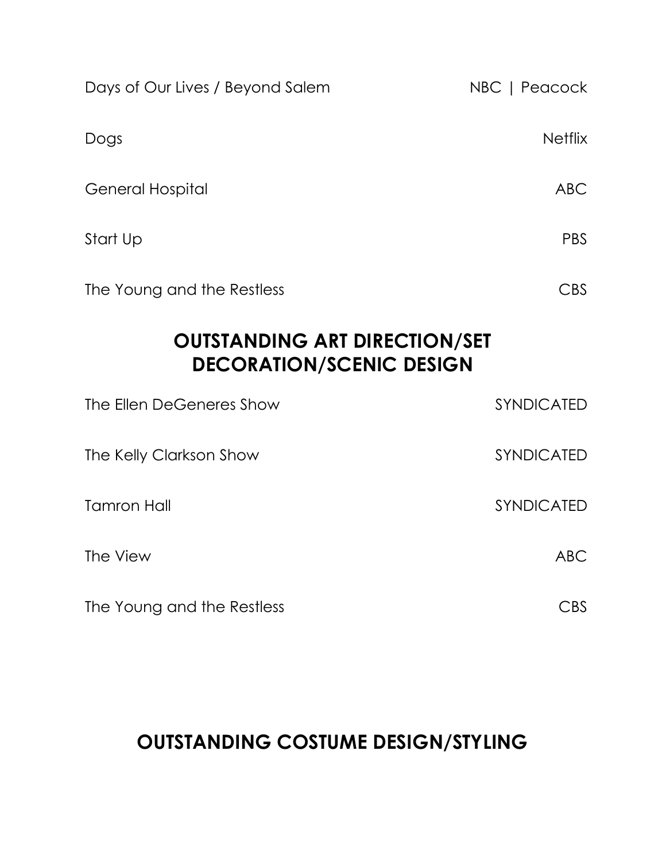| Days of Our Lives / Beyond Salem                                        | NBC   Peacock     |  |
|-------------------------------------------------------------------------|-------------------|--|
| Dogs                                                                    | <b>Netflix</b>    |  |
| <b>General Hospital</b>                                                 | <b>ABC</b>        |  |
| Start Up                                                                | <b>PBS</b>        |  |
| The Young and the Restless                                              | <b>CBS</b>        |  |
| <b>OUTSTANDING ART DIRECTION/SET</b><br><b>DECORATION/SCENIC DESIGN</b> |                   |  |
| The Ellen DeGeneres Show                                                | <b>SYNDICATED</b> |  |
| The Kelly Clarkson Show                                                 | SYNDICATED        |  |
| <b>Tamron Hall</b>                                                      | <b>SYNDICATED</b> |  |
| The View                                                                | <b>ABC</b>        |  |
| The Young and the Restless                                              | <b>CBS</b>        |  |

# **OUTSTANDING COSTUME DESIGN/STYLING**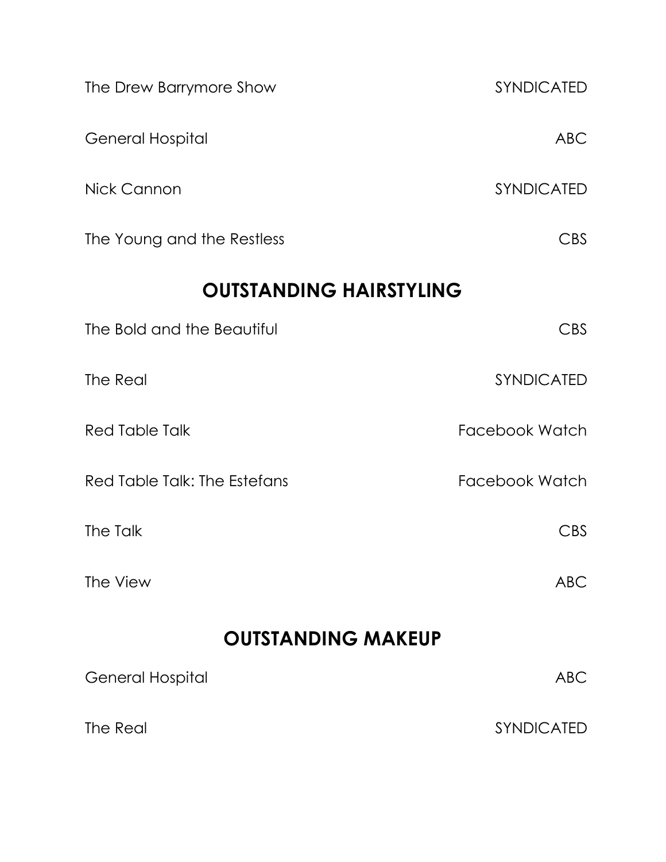| The Drew Barrymore Show        | SYNDICATED            |
|--------------------------------|-----------------------|
| <b>General Hospital</b>        | <b>ABC</b>            |
| Nick Cannon                    | SYNDICATED            |
| The Young and the Restless     | <b>CBS</b>            |
| <b>OUTSTANDING HAIRSTYLING</b> |                       |
| The Bold and the Beautiful     | <b>CBS</b>            |
| The Real                       | SYNDICATED            |
| <b>Red Table Talk</b>          | <b>Facebook Watch</b> |
| Red Table Talk: The Estefans   | Facebook Watch        |
| The Talk                       | <b>CBS</b>            |
| The View                       | <b>ABC</b>            |
| <b>OUTSTANDING MAKEUP</b>      |                       |
| <b>General Hospital</b>        | <b>ABC</b>            |
| The Real                       | SYNDICATED            |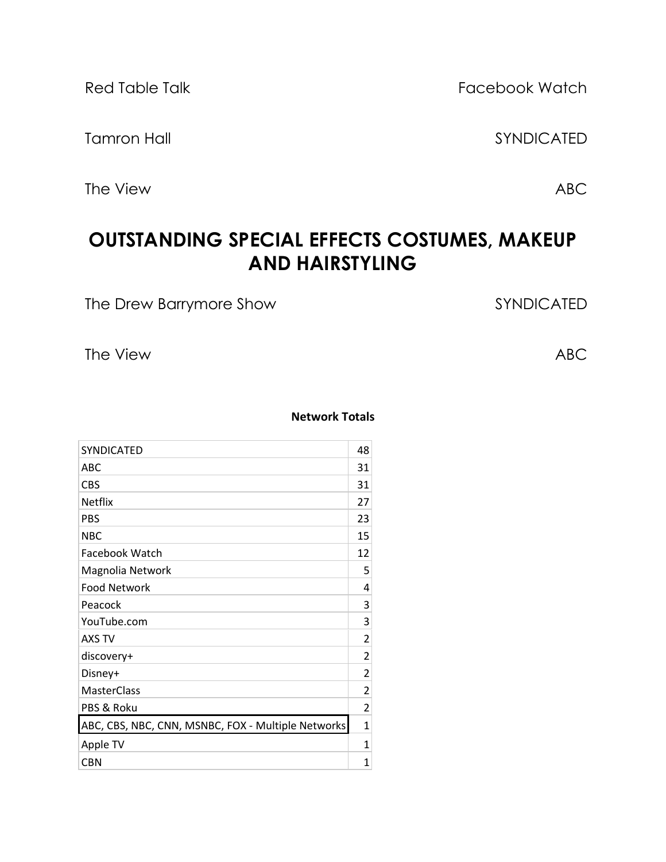The View ABC

Red Table Talk Facebook Watch

Tamron Hall SYNDICATED

## **OUTSTANDING SPECIAL EFFECTS COSTUMES, MAKEUP AND HAIRSTYLING**

The Drew Barrymore Show SYNDICATED

The View ABC

#### **Network Totals**

| SYNDICATED                                         | 48             |
|----------------------------------------------------|----------------|
| ABC                                                | 31             |
| <b>CBS</b>                                         | 31             |
| <b>Netflix</b>                                     | 27             |
| <b>PBS</b>                                         | 23             |
| <b>NBC</b>                                         | 15             |
| Facebook Watch                                     | 12             |
| Magnolia Network                                   | 5              |
| <b>Food Network</b>                                | 4              |
| Peacock                                            | 3              |
| YouTube.com                                        | 3              |
| AXS TV                                             | 2              |
| discovery+                                         | 2              |
| Disney+                                            | 2              |
| <b>MasterClass</b>                                 | $\overline{c}$ |
| PBS & Roku                                         | $\overline{c}$ |
| ABC, CBS, NBC, CNN, MSNBC, FOX - Multiple Networks | $\mathbf{1}$   |
| Apple TV                                           | $\mathbf{1}$   |
| <b>CBN</b>                                         | $\mathbf{1}$   |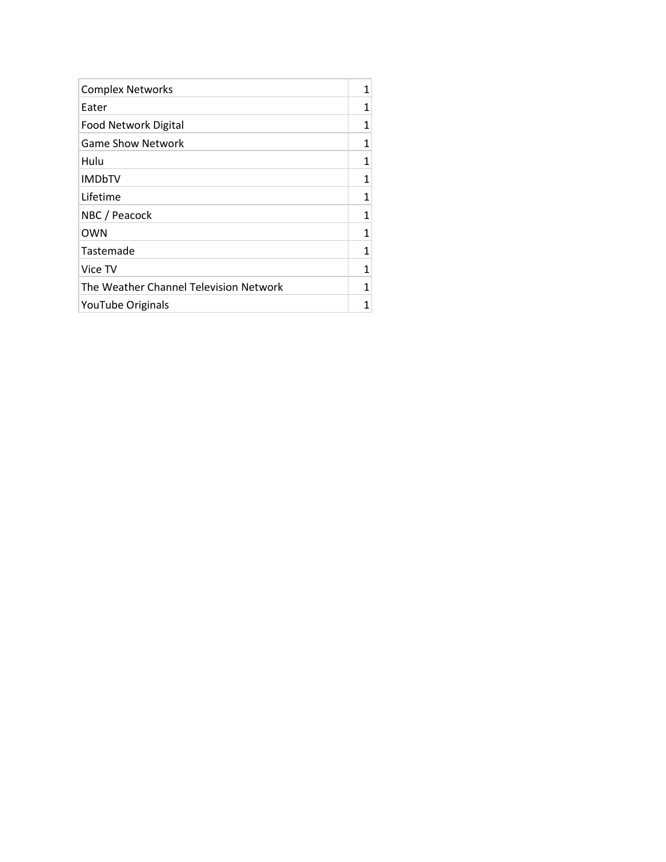| <b>Complex Networks</b>                | 1 |
|----------------------------------------|---|
| Eater                                  | 1 |
| Food Network Digital                   | 1 |
| <b>Game Show Network</b>               | 1 |
| Hulu                                   | 1 |
| <b>IMDbTV</b>                          | 1 |
| Lifetime                               | 1 |
| NBC / Peacock                          | 1 |
| <b>OWN</b>                             | 1 |
| Tastemade                              | 1 |
| Vice TV                                | 1 |
| The Weather Channel Television Network | 1 |
| YouTube Originals                      |   |
|                                        |   |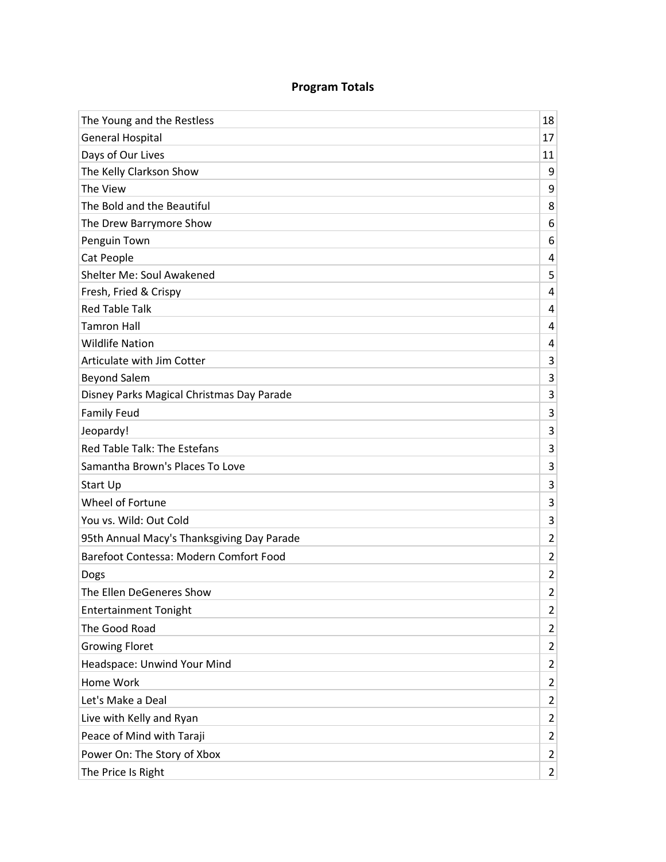#### **Program Totals**

| The Young and the Restless                 | 18                      |
|--------------------------------------------|-------------------------|
| <b>General Hospital</b>                    | 17                      |
| Days of Our Lives                          | 11                      |
| The Kelly Clarkson Show                    | 9                       |
| The View                                   | 9                       |
| The Bold and the Beautiful                 | 8                       |
| The Drew Barrymore Show                    | 6                       |
| Penguin Town                               | 6                       |
| Cat People                                 | 4                       |
| Shelter Me: Soul Awakened                  | 5                       |
| Fresh, Fried & Crispy                      | 4                       |
| <b>Red Table Talk</b>                      | 4                       |
| <b>Tamron Hall</b>                         | 4                       |
| <b>Wildlife Nation</b>                     | 4                       |
| Articulate with Jim Cotter                 | 3                       |
| <b>Beyond Salem</b>                        | 3                       |
| Disney Parks Magical Christmas Day Parade  | 3                       |
| <b>Family Feud</b>                         | 3                       |
| Jeopardy!                                  | 3                       |
| Red Table Talk: The Estefans               | 3                       |
| Samantha Brown's Places To Love            | 3                       |
| Start Up                                   | 3                       |
| Wheel of Fortune                           | 3                       |
| You vs. Wild: Out Cold                     | 3                       |
| 95th Annual Macy's Thanksgiving Day Parade | $\overline{2}$          |
| Barefoot Contessa: Modern Comfort Food     | $\overline{2}$          |
| Dogs                                       | $\overline{2}$          |
| The Ellen DeGeneres Show                   | 2                       |
| <b>Entertainment Tonight</b>               | $\overline{2}$          |
| The Good Road                              | $\overline{2}$          |
| <b>Growing Floret</b>                      | $\overline{2}$          |
| Headspace: Unwind Your Mind                | $\overline{2}$          |
| Home Work                                  | $\overline{2}$          |
| Let's Make a Deal                          | $\overline{2}$          |
| Live with Kelly and Ryan                   | $\overline{\mathbf{c}}$ |
| Peace of Mind with Taraji                  | $\overline{2}$          |
| Power On: The Story of Xbox                | $\overline{2}$          |
| The Price Is Right                         | $\overline{2}$          |
|                                            |                         |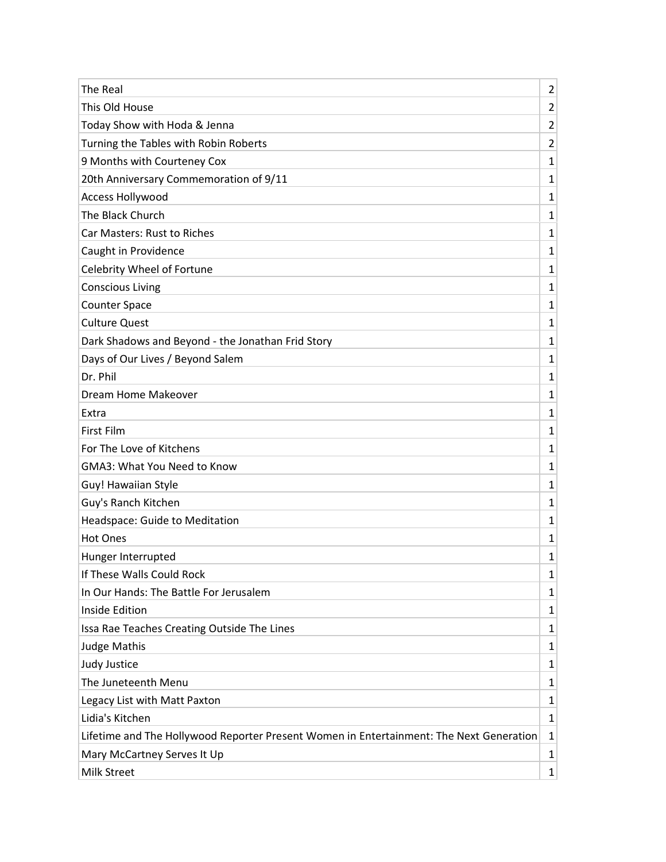| The Real                                                                                | $\overline{2}$ |
|-----------------------------------------------------------------------------------------|----------------|
| This Old House                                                                          | $\overline{2}$ |
| Today Show with Hoda & Jenna                                                            | 2              |
| Turning the Tables with Robin Roberts                                                   | $\overline{2}$ |
| 9 Months with Courteney Cox                                                             | 1              |
| 20th Anniversary Commemoration of 9/11                                                  | 1              |
| <b>Access Hollywood</b>                                                                 | 1              |
| The Black Church                                                                        | 1              |
| Car Masters: Rust to Riches                                                             | 1              |
| Caught in Providence                                                                    | 1              |
| Celebrity Wheel of Fortune                                                              | 1              |
| <b>Conscious Living</b>                                                                 | 1              |
| <b>Counter Space</b>                                                                    | 1              |
| <b>Culture Quest</b>                                                                    | 1              |
| Dark Shadows and Beyond - the Jonathan Frid Story                                       | 1              |
| Days of Our Lives / Beyond Salem                                                        | 1              |
| Dr. Phil                                                                                | 1              |
| Dream Home Makeover                                                                     | 1              |
| Extra                                                                                   | 1              |
| First Film                                                                              | 1              |
| For The Love of Kitchens                                                                | 1              |
| <b>GMA3: What You Need to Know</b>                                                      | 1              |
| Guy! Hawaiian Style                                                                     | 1              |
| Guy's Ranch Kitchen                                                                     | 1              |
| Headspace: Guide to Meditation                                                          | 1              |
| <b>Hot Ones</b>                                                                         | 1              |
| Hunger Interrupted                                                                      | 1              |
| If These Walls Could Rock                                                               | 1              |
| In Our Hands: The Battle For Jerusalem                                                  | 1              |
| <b>Inside Edition</b>                                                                   | 1              |
| Issa Rae Teaches Creating Outside The Lines                                             | 1              |
| <b>Judge Mathis</b>                                                                     | 1              |
| Judy Justice                                                                            | 1              |
| The Juneteenth Menu                                                                     | 1              |
| Legacy List with Matt Paxton                                                            | 1              |
| Lidia's Kitchen                                                                         | 1              |
| Lifetime and The Hollywood Reporter Present Women in Entertainment: The Next Generation | 1              |
| Mary McCartney Serves It Up                                                             | 1              |
| Milk Street                                                                             | 1              |